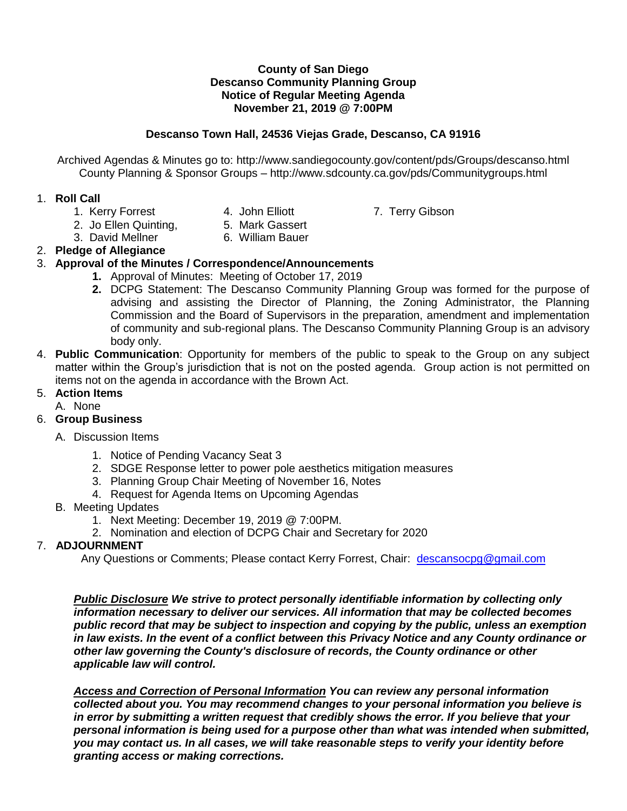#### **County of San Diego Descanso Community Planning Group Notice of Regular Meeting Agenda November 21, 2019 @ 7:00PM**

## **Descanso Town Hall, 24536 Viejas Grade, Descanso, CA 91916**

Archived Agendas & Minutes go to: http://www.sandiegocounty.gov/content/pds/Groups/descanso.html County Planning & Sponsor Groups – http://www.sdcounty.ca.gov/pds/Communitygroups.html

### 1. **Roll Call**

- 
- 
- 2. Jo Ellen Quinting, 5. Mark Gassert
- 3. David Mellner 6. William Bauer
- 2. **Pledge of Allegiance**

## 3. **Approval of the Minutes / Correspondence/Announcements**

- **1.** Approval of Minutes: Meeting of October 17, 2019
- **2.** DCPG Statement: The Descanso Community Planning Group was formed for the purpose of advising and assisting the Director of Planning, the Zoning Administrator, the Planning Commission and the Board of Supervisors in the preparation, amendment and implementation of community and sub-regional plans. The Descanso Community Planning Group is an advisory body only.
- 4. **Public Communication**: Opportunity for members of the public to speak to the Group on any subject matter within the Group's jurisdiction that is not on the posted agenda. Group action is not permitted on items not on the agenda in accordance with the Brown Act.

### 5. **Action Items**

A. None

# 6. **Group Business**

### A. Discussion Items

- 1. Notice of Pending Vacancy Seat 3
- 2. SDGE Response letter to power pole aesthetics mitigation measures
- 3. Planning Group Chair Meeting of November 16, Notes
- 4. Request for Agenda Items on Upcoming Agendas
- B. Meeting Updates
	- 1. Next Meeting: December 19, 2019 @ 7:00PM.
	- 2. Nomination and election of DCPG Chair and Secretary for 2020

# 7. **ADJOURNMENT**

Any Questions or Comments; Please contact Kerry Forrest, Chair: [descansocpg@gmail.com](mailto:descansocpg@gmail.com)

*Public Disclosure We strive to protect personally identifiable information by collecting only information necessary to deliver our services. All information that may be collected becomes public record that may be subject to inspection and copying by the public, unless an exemption in law exists. In the event of a conflict between this Privacy Notice and any County ordinance or other law governing the County's disclosure of records, the County ordinance or other applicable law will control.*

*Access and Correction of Personal Information You can review any personal information collected about you. You may recommend changes to your personal information you believe is in error by submitting a written request that credibly shows the error. If you believe that your personal information is being used for a purpose other than what was intended when submitted, you may contact us. In all cases, we will take reasonable steps to verify your identity before granting access or making corrections.* 

1. Kerry Forrest **4. John Elliott** 7. Terry Gibson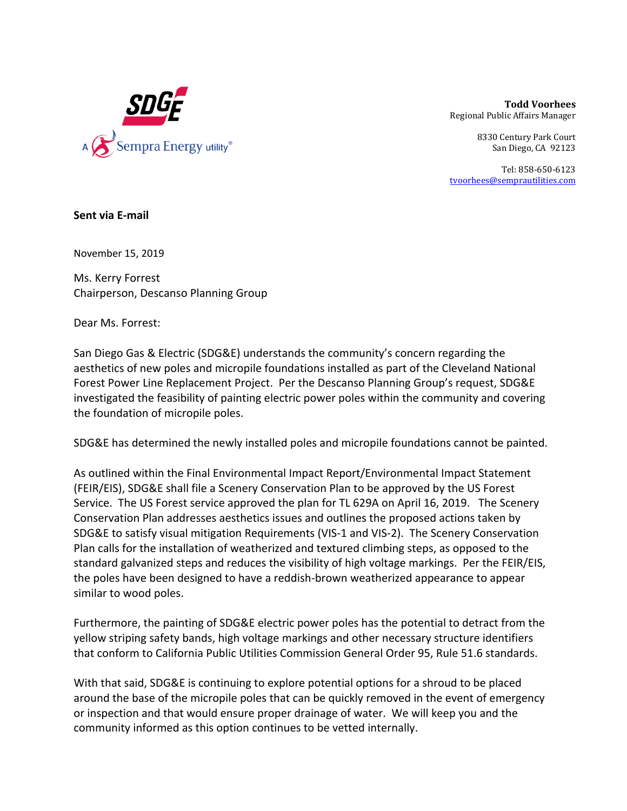

**Todd Voorhees** Regional Public Affairs Manager 

> 8330 Century Park Court San Diego, CA 92123

Tel: 858‐650‐6123 tvoorhees@semprautilities.com

**Sent via E‐mail** 

November 15, 2019

Ms. Kerry Forrest Chairperson, Descanso Planning Group

Dear Ms. Forrest:

San Diego Gas & Electric (SDG&E) understands the community's concern regarding the aesthetics of new poles and micropile foundations installed as part of the Cleveland National Forest Power Line Replacement Project. Per the Descanso Planning Group's request, SDG&E investigated the feasibility of painting electric power poles within the community and covering the foundation of micropile poles.

SDG&E has determined the newly installed poles and micropile foundations cannot be painted.

As outlined within the Final Environmental Impact Report/Environmental Impact Statement (FEIR/EIS), SDG&E shall file a Scenery Conservation Plan to be approved by the US Forest Service. The US Forest service approved the plan for TL 629A on April 16, 2019. The Scenery Conservation Plan addresses aesthetics issues and outlines the proposed actions taken by SDG&E to satisfy visual mitigation Requirements (VIS‐1 and VIS‐2). The Scenery Conservation Plan calls for the installation of weatherized and textured climbing steps, as opposed to the standard galvanized steps and reduces the visibility of high voltage markings. Per the FEIR/EIS, the poles have been designed to have a reddish‐brown weatherized appearance to appear similar to wood poles.

Furthermore, the painting of SDG&E electric power poles has the potential to detract from the yellow striping safety bands, high voltage markings and other necessary structure identifiers that conform to California Public Utilities Commission General Order 95, Rule 51.6 standards.

With that said, SDG&E is continuing to explore potential options for a shroud to be placed around the base of the micropile poles that can be quickly removed in the event of emergency or inspection and that would ensure proper drainage of water. We will keep you and the community informed as this option continues to be vetted internally.